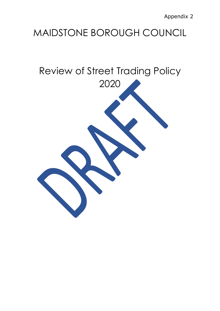# MAIDSTONE BOROUGH COUNCIL

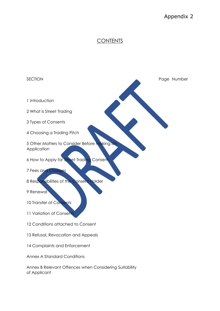## Appendix 2

### **CONTENTS**

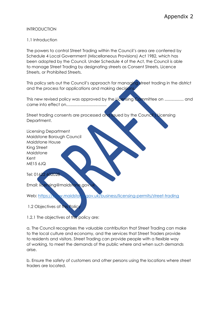#### INTRODUCTION

#### 1.1 Introduction

The powers to control Street Trading within the Council's area are conferred by Schedule 4 Local Government (Miscellaneous Provisions) Act 1982, which has been adopted by the Council. Under Schedule 4 of the Act, the Council is able to manage Street Trading by designating streets as Consent Streets, Licence Streets, or Prohibited Streets.

This policy sets out the Council's approach for managing street trading in the district and the process for applications and making decisions.

This new revised policy was approved by the Licensing Committee on .................. and came into effect on....................................

Street trading consents are processed and issued by the Council's Licensing Department.

Licensing Department Maidstone Borough Council Maidstone House King Street Maidstone Kent ME15 6JQ

Tel: 01622 602028

Email: licensing@maidstone.gov.

Web: https://www.maidstone.gov.uk/business/licensing-permits/street-trading

1.2 Objectives of this Policy

1.2.1 The objectives of this policy are:

a. The Council recognises the valuable contribution that Street Trading can make to the local culture and economy, and the services that Street Traders provide to residents and visitors. Street Trading can provide people with a flexible way of working, to meet the demands of the public where and when such demands arise.

b. Ensure the safety of customers and other persons using the locations where street traders are located.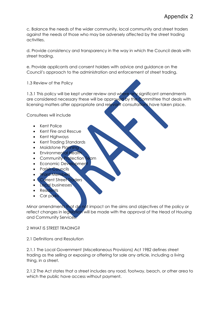c. Balance the needs of the wider community, local community and street traders against the needs of those who may be adversely affected by the street trading activities.

d. Provide consistency and transparency in the way in which the Council deals with street trading.

e. Provide applicants and consent holders with advice and guidance on the Council's approach to the administration and enforcement of street trading.

1.3 Review of the Policy

1.3.1 This policy will be kept under review and where any significant amendments are considered necessary these will be approved by the Committee that deals with licensing matters after appropriate and relevant consultations have taken place.

Consultees will include

- Kent Police
- Kent Fire and Rescue
- Kent Highways
- Kent Trading Standards
- Maidstone Planning
- Environmental Health
- Community Protection Team
- Economic Development
- Parish Councils
- Ward Members
- **Current Street Traders**
- **Local businesses**
- Residents
- Car parks

Minor amendments that do not impact on the aims and objectives of the policy or reflect changes in legislation will be made with the approval of the Head of Housing and Community Services.

#### 2 WHAT IS STREET TRADING?

2.1 Definitions and Resolution

2.1.1 The Local Government (Miscellaneous Provisions) Act 1982 defines street trading as the selling or exposing or offering for sale any article, including a living thing, in a street.

2.1.2 The Act states that a street includes any road, footway, beach, or other area to which the public have access without payment.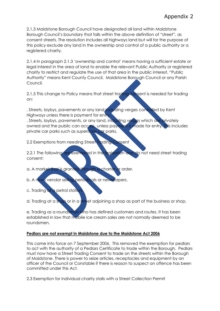2.1.3 Maidstone Borough Council have designated all land within Maidstone Borough Council's boundary that falls within the above definition of "street", as consent streets. The resolution includes all highways land but will for the purpose of this policy exclude any land in the ownership and control of a public authority or a registered charity.

2.1.4 In paragraph 2.1.3 'ownership and control' means having a sufficient estate or legal interest in the area of land to enable the relevant Public Authority or registered charity to restrict and regulate the use of that area in the public interest. "Public Authority" means Kent County Council, Maidstone Borough Council or any Parish Council.

2.1.5 This change to Policy means that street trading consent is needed for trading on:

. Streets, laybys, pavements or any land including verges controlled by Kent Highways unless there is payment for entry

. Streets, laybys, pavements, or any land, including verges which are privately owned and the public can access, unless payment is made for entry. This includes private car parks such as superstore car parks.

2.2 Exemptions from needing Street Trading Consent

2.2.1 The following are exempted in the legislation and do not need street trading consent:

- a. A market that is granted through a charter or order.
- b. A news vendor selling periodicals or newspapers.
- c. Trading at a petrol station.

d. Trading at a shop or in a street adjoining a shop as part of the business or shop.

e. Trading as a roundsman who has defined customers and routes. It has been established in law that mobile ice cream sales are not normally deemed to be roundsmen.

#### **Pedlars are not exempt in Maidstone due to the Maidstone Act 2006**

This came into force on 7 September 2006. This removed the exemption for pedlars to act with the authority of a Pedlars Certificate to trade within the Borough. Pedlars must now have a Street Trading Consent to trade on the streets within the Borough of Maidstone. There is power to seize articles, receptacles and equipment by an officer of the Council or Constable if there is reason to suspect an offence has been committed under this Act.

2.3 Exemption for individual charity stalls with a Street Collection Permit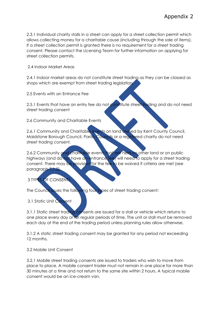2.3.1 Individual charity stalls in a street can apply for a street collection permit which allows collecting money for a charitable cause (including through the sale of items). If a street collection permit is granted there is no requirement for a street trading consent. Please contact the Licensing Team for further information on applying for street collection permits.

2.4 Indoor Market Areas

2.4.1 Indoor market areas do not constitute street trading as they can be classed as shops which are exempt from street trading legislation.

2.5 Events with an Entrance Fee

2.5.1 Events that have an entry fee do not constitute street trading and do not need street trading consent

2.6 Community and Charitable Events

2.6.1 Community and Charitable events on land owned by Kent County Council, Maidstone Borough Council, Parish Councils or a registered charity do not need street trading consent.

2.6.2 Community and charitable events that are held on other land or on public highways (and do not have an entrance fee) will need to apply for a street trading consent. There may be provision for the fee to be waived if criteria are met (see paragraph 7.1.5).

#### 3 TYPES OF CONSENTS

The Council issues the following four types of street trading consent:

3.1 Static Unit Consent

3.1.1 Static street trading consents are issued for a stall or vehicle which returns to one place every day or for regular periods of time. The unit or stall must be removed each day at the end of the trading period unless planning rules allow otherwise.

3.1.2 A static street trading consent may be granted for any period not exceeding 12 months.

3.2 Mobile Unit Consent

3.2.1 Mobile street trading consents are issued to traders who wish to move from place to place. A mobile consent trader must not remain in one place for more than 30 minutes at a time and not return to the same site within 2 hours. A typical mobile consent would be an ice-cream van.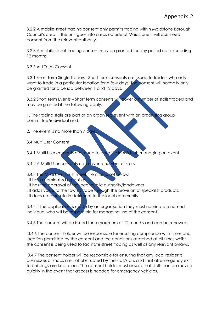3.2.2 A mobile street trading consent only permits trading within Maidstone Borough Council's area. If the unit goes into areas outside of Maidstone it will also need consent from the relevant authority.

3.2.3 A mobile street trading consent may be granted for any period not exceeding 12 months.

3.3 Short Term Consent

3.3.1 Short Term Single Traders - Short term consents are issued to traders who only want to trade in a particular location for a few days. The consent will normally only be granted for a period between 1 and 12 days.

3.3.2 Short Term Events – Short term consents will cover a number of stalls/traders and may be granted if the following apply:

1. The trading stalls are part of an organised event with an organising group committee/individual and;

2. The event is no more than 7 day

3.4 Multi User Consent

3.4.1 Multi User consents are issued to specific individuals managing an event.

3.4.2 A Multi User consents can cover a number of stalls.

3.4.3 The Multi User must meet the criteria set below.

. It has a nominated organiser.

. It has the approval of the local public authority/landowner.

. It adds value to the town's trade through the provision of specialist products.

. It does not operate in detriment to the local community.

3.4.4 If the application is made by an organisation they must nominate a named individual who will be responsible for managing use of the consent.

3.4.5 The consent will be issued for a maximum of 12 months and can be renewed.

3.4.6 The consent holder will be responsible for ensuring compliance with times and location permitted by the consent and the conditions attached at all times whilst the consent is being used to facilitate street trading as well as any relevant bylaws.

3.4.7 The consent holder will be responsible for ensuring that any local residents, businesses or shops are not obstructed by the stall/stalls and that all emergency exits to buildings are kept clear. The consent holder must ensure that stalls can be moved quickly in the event that access is needed for emergency vehicles.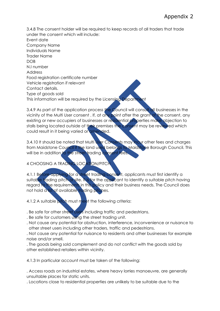3.4.8 The consent holder will be required to keep records of all traders that trade under the consent which will include: Event date Company Name Individuals Name Trader Name DO<sub>B</sub> N.I number Address Food registration certificate number Vehicle registration if relevant Contact details. Type of goods sold This information will be required by the Licensing Department

3.4.9 As part of the application process the Council will consult all businesses in the vicinity of the Multi User consent . If, at any point after the grant of the consent, any existing or new occupiers of businesses or residential properties make objection to stalls being located outside of their premises the consent may be reviewed which could result in it being varied or amended.

3.4.10 It should be noted that Multi User Consents may incur other fees and charges from Maidstone Council if the land used belongs to Maidstone Borough Council. This will be in addition to the street trading consent fees.

## 4 CHOOSING A TRADING LOCATION/PITCH

4.1.1 Before applying for a street trading consent, applicants must first identify a suitable trading pitch or site. It is for the applicant to identify a suitable pitch having regard to the requirements in this policy and their business needs. The Council does not hold a list of available trading pitches.

4.1.2 A suitable pitch must meet the following criteria:

- . Be safe for other street users including traffic and pedestrians.
- . Be safe for customers using the street trading unit.
- . Not cause any potential for obstruction, interference, inconvenience or nuisance to other street users including other traders, traffic and pedestrians.

. Not cause any potential for nuisance to residents and other businesses for example noise and/or smell.

. The goods being sold complement and do not conflict with the goods sold by other established retailers within vicinity.

4.1.3 In particular account must be taken of the following:

. Access roads on industrial estates, where heavy lorries manoeuvre, are generally unsuitable places for static units.

. Locations close to residential properties are unlikely to be suitable due to the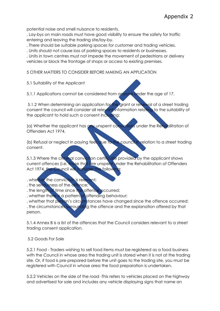potential noise and smell nuisance to residents.

. Lay-bys on main roads must have good visibility to ensure the safety for traffic entering and leaving the trading site/lay-by.

. There should be suitable parking spaces for customer and trading vehicles.

. Units should not cause loss of parking spaces to residents or businesses.

. Units in town centres must not impede the movement of pedestrians or delivery vehicles or block the frontage of shops or access to existing premises.

5 OTHER MATTERS TO CONSIDER BEFORE MAKING AN APPLICATION

5.1 Suitability of the Applicant

5.1.1 Applications cannot be considered from anyone under the age of 17.

5.1.2 When determining an application for the grant or renewal of a street trading consent the council will consider all relevant information relating to the suitability of the applicant to hold such a consent including:

(a) Whether the applicant has any unspent convictions under the Rehabilitation of Offenders Act 1974.

(b) Refusal or neglect in paying fees due to the council in relation to a street trading consent.

5.1.3 Where the criminal conviction certificate provided by the applicant shows current offences (i.e. those that are unspent under the Rehabilitation of Offenders Act 1974, the Council will consider the following:

. whether the conviction is relevant;

. the seriousness of the offence;

. the length of time since the offence occurred;

. whether there is a pattern of offending behaviour;

. whether that person's circumstances have changed since the offence occurred; . the circumstances surrounding the offence and the explanation offered by that person.

5.1.4 Annex B is a list of the offences that the Council considers relevant to a street trading consent application.

5.2 Goods For Sale

5.2.1 Food - Traders wishing to sell food items must be registered as a food business with the Council in whose area the trading unit is stored when it is not at the trading site. Or, if food is pre-prepared before the unit goes to the trading site, you must be registered with Council in whose area the food preparation is undertaken.

5.2.2 Vehicles on the side of the road -This refers to vehicles placed on the highway and advertised for sale and includes any vehicle displaying signs that name an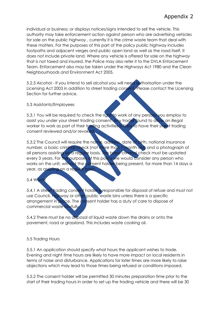individual or business; or displays notices/signs intended to sell the vehicle. This authority may take enforcement action against person who are advertising vehicles for sale on the public highway , currently it is the crime waste team that deal with these matters. For the purposes of this part of the policy public highway includes footpaths and adjacent verges and public open land as well as the road itself. It does not include private land. Where any vehicle is offered for sale on the highway that is not taxed and insured, the Police may also refer it to the DVLA Enforcement Team. Enforcement also may be taken under the Highways Act 1980 and the Clean Neighbourhoods and Environment Act 2005.

5.2.3 Alcohol - If you intend to sell alcohol you will need authorisation under the Licensing Act 2003 in addition to street trading consent. Please contact the Licensing Section for further advice.

#### 5.3 Assistants/Employees

5.3.1 You will be required to check the right to work of any persons you employ to assist you under your street trading consent. Any trader found to allow an illegal worker to work as part of their trading activities is likely to have their street trading consent reviewed and/or revoked.

5.3.2 The Council will require the name, address, date of birth, national insurance number, a basic criminal check (not more than 1 month old) and a photograph of all persons assisting on a regular basis. The basic criminal check must be updated every 3 years. For the purposes of this policy we would consider any person who works on the unit, without the consent holder being present, for more than 14 days a year, as assisting on a regular basis.

#### 5.4 Waste

5.4.1 A street trading consent holder is responsible for disposal of refuse and must not use Council, highway or other public waste bins unless there is a specific arrangement in place. The consent holder has a duty of care to dispose of commercial waste lawfully.

5.4.2 There must be no disposal of liquid waste down the drains or onto the pavement, road or grassland. This includes waste cooking oil.

#### 5.5 Trading Hours

5.5.1 An application should specify what hours the applicant wishes to trade. Evening and night time hours are likely to have more impact on local residents in terms of noise and disturbance. Applications for later times are more likely to raise objections which may lead to those times being refused or conditions imposed.

5.5.2 The consent holder will be permitted 30 minutes preparation time prior to the start of their trading hours in order to set up the trading vehicle and there will be 30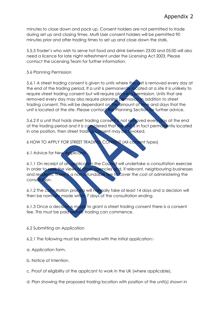minutes to close down and pack up. Consent holders are not permitted to trade during set up and closing times. Multi User consent holders will be permitted 90 minutes prior and after trading times to set up and close down the stalls.

5.5.3 Trader's who wish to serve hot food and drink between 23:00 and 05:00 will also need a licence for late night refreshment under the Licensing Act 2003. Please contact the Licensing Team for further information.

5.6 Planning Permission

5.6.1 A street trading consent is given to units where the unit is removed every day at the end of the trading period. If a unit is permanently located at a site it is unlikely to require street trading consent but will require planning permission. Units that are removed every day may also require planning permission in addition to street trading consent. This will be dependant on the amount of time and days that the unit is located at the site. Please contact the Planning Section for further advice.

5.6.2 If a unit that holds street trading consent is not removed every day at the end of the trading period and it is considered that the unit is in fact permanently located in one position, then street trading consent may be revoked.

6 HOW TO APPLY FOR STREET TRADING CONSENT (All consent types)

6.1 Advice for New Applicants

6.1.1 On receipt of an application the Council will undertake a consultation exercise in order to seek the views of other agencies and, if relevant, neighbouring businesses and residents. There is a non-refundable fee to cover the cost of administering the consultation.

6.1.2 The consultation process will normally take at least 14 days and a decision will then be normally made within 7 days of the consultation ending.

6.1.3 Once a decision is made to grant a street trading consent there is a consent fee. This must be paid before trading can commence.

#### 6.2 Submitting an Application

6.2.1 The following must be submitted with the initial application:-

- a. Application form.
- b. Notice of Intention.
- c. Proof of eligibility of the applicant to work in the UK (where applicable).

d. Plan showing the proposed trading location with position of the unit(s) shown in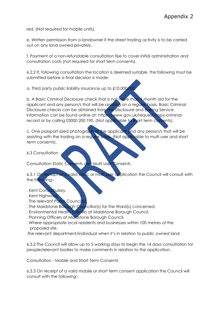red. (Not required for mobile units).

e. Written permission from a landowner if the street trading activity is to be carried out on any land owned privately.

f. Payment of a non-refundable consultation fee to cover initial administration and consultation costs (not required for short term consents).

6.2.2 If, following consultation the location is deemed suitable, the following must be submitted before a final decision is made:

a. Third party public liability insurance up to £10,000,000.

b. A Basic Criminal Disclosure check that is not more than 1 month old for the applicant and any person/s that will be assisting on a regular basis. Basic Criminal Disclosure checks can be obtained from the Disclosure and Barring Service. Information can be found online at: https://www.gov.uk/request-copy-criminalrecord or by calling 03000 200 190. (Not applicable to short term consents).

c. One passport sized photograph of the applicant and any person/s that will be assisting with the trading on a regular basis. (Not applicable to multi user and short term consents).

6.3 Consultation

Consultation Static Consents and Multi User Consents

6.3.1 On receipt of a valid static or multi user application the Council will consult with the following:-

- . Kent Constabulary.
- . Kent Highways.
- . The relevant Parish Council(s).
- . The Maidstone Borough Councillor(s) for the Ward(s) concerned.
- . Environmental Health Officers at Maidstone Borough Council.
- . Planning Officers at Maidstone Borough Council.
- . Where appropriate local residents and businesses within 100 metres of the proposed site.
- .the relevant department/individual when it's in relation to public owned land.

6.3.2 The Council will allow up to 5 working days to begin the 14 days consultation for people/relevant bodies to make comments in relation to the application.

Consultation - Mobile and Short Term Consents

6.3.3 On receipt of a valid mobile or short term consent application the Council will consult with the following:-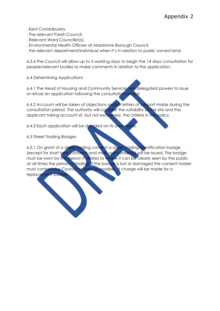- . Kent Constabulary.
- . The relevant Parish Council.
- . Relevant Ward Councillor(s).
- . Environmental Health Officers at Maidstone Borough Council.

. the relevant department/individual when it's in relation to public owned land.

6.3.4 The Council will allow up to 5 working days to begin the 14 days consultation for people/relevant bodies to make comments in relation to the application.

6.4 Determining Applications

6.4.1 The Head of Housing and Community Services has delegated powers to issue or refuse an application following the consultation period.

6.4.2 Account will be taken of objections and/or letters of support made during the consultation period. The authority will consider the suitability of the site and the applicant taking account of, but not exclusively, the criteria in this policy.

6.4.3 Each application will be decided on its own merit

6.5 Street Trading Badges

6.5.1 On grant of a street trading consent a street trading identification badge (except for short term consents and multi user consents) will be issued. The badge must be worn by the person it relates to where it can be clearly seen by the public at all times the person is trading. If the badge is lost or damaged the consent holder must contact the Council as soon as possible. A charge will be made for a replacement badge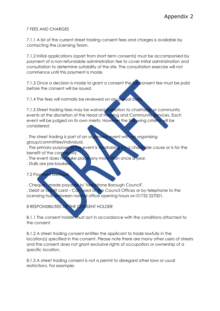#### 7 FEES AND CHARGES

7.1.1 A list of the current street trading consent fees and charges is available by contacting the Licensing Team.

7.1.2 Initial applications (apart from short term consents) must be accompanied by payment of a non-refundable administration fee to cover initial administration and consultation to determine suitability of the site. The consultation exercise will not commence until this payment is made.

7.1.3 Once a decision is made to grant a consent the full consent fee must be paid before the consent will be issued.

7.1.4 The fees will normally be reviewed on an annual basis

7.1.5 Street trading fees may be waived in relation to charitable or community events at the discretion of the Head of Housing and Community Services. Each event will be judged on its own merits. However the following criteria will be considered:

. The street trading is part of an organised event with an organising group/committee/individual.

. The primary purpose of the event is fundraising for a charitable cause or is for the benefit of the community.

. The event does not take place any more than once a year.

. Stalls are pre-booked.

7.2 Payment Methods

. Cheque - made payable to "Maidstone Borough Council".

. Debit or credit card – Can used at the Council Offices or by telephone to the Licensing hub between normal office opening hours on 01732 227001.

8 RESPONSIBILITIES OF THE CONSENT HOLDER

8.1.1 The consent holder must act in accordance with the conditions attached to the consent.

8.1.2 A street trading consent entitles the applicant to trade lawfully in the location(s) specified in the consent. Please note there are many other users of streets and the consent does not grant exclusive rights of occupation or ownership of a specific location.

8.1.3 A street trading consent is not a permit to disregard other laws or usual restrictions. For example: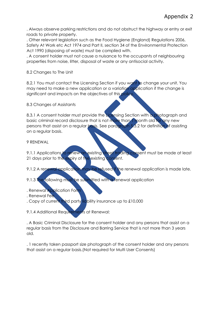. Always observe parking restrictions and do not obstruct the highway or entry or exit roads to private property.

. Other relevant legislation such as the Food Hygiene (England) Regulations 2006, Safety At Work etc Act 1974 and Part II, section 34 of the Environmental Protection Act 1990 (disposing of waste) must be complied with.

. A consent holder must not cause a nuisance to the occupants of neighbouring properties from noise, litter, disposal of waste or any antisocial activity.

8.2 Changes to The Unit

8.2.1 You must contact the Licensing Section if you want to change your unit. You may need to make a new application or a variation application if the change is significant and impacts on the objectives of this policy.

8.3 Changes of Assistants

8.3.1 A consent holder must provide the Licensing Section with a photograph and basic criminal record disclosure that is not more than 1 month old for any new persons that assist on a regular basis. See paragraph 5.3.2 for definition of assisting on a regular basis.

#### 9 RENEWAL

9.1.1 Applications to renew an existing street trading consent must be made at least 21 days prior to the expiry of the existing consent.

9.1.2 A renewal application may be refused if the renewal application is made late.

9.1.3 The following must be submitted with a renewal application

- . Renewal Application Form
- . Renewal Fee

. Copy of current third party liability insurance up to £10,000

9.1.4 Additional Requirements at Renewal:

. A Basic Criminal Disclosure for the consent holder and any persons that assist on a regular basis from the Disclosure and Barring Service that is not more than 3 years old.

. 1 recently taken passport size photograph of the consent holder and any persons that assist on a regular basis.(Not required for Multi User Consents)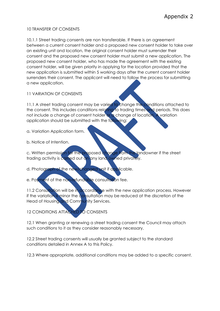#### 10 TRANSFER OF CONSENTS

10.1.1 Street trading consents are non transferable. If there is an agreement between a current consent holder and a proposed new consent holder to take over an existing unit and location, the original consent holder must surrender their consent and the proposed new consent holder must submit a new application. The proposed new consent holder, who has made the agreement with the existing consent holder, will be given priority in applying for the location provided that the new application is submitted within 5 working days after the current consent holder surrenders their consent. The applicant will need to follow the process for submitting a new application.

11 VARIATION OF CONSENTS

11.1 A street trading consent may be varied to change the conditions attached to the consent. This includes conditions relating to trading times and periods. This does not include a change of consent holder or a change of location. A variation application should be submitted with the following:

a. Variation Application form.

b. Notice of Intention.

c. Written permission for the proposed change from the landowner if the street trading activity is carried out on any land owned privately.

- d. Photograph of the new/changed unit if applicable.
- e. Payment of the non-refundable consultation fee.

11.2 Consultation will be in accordance with the new application process. However if the variation is minor the consultation may be reduced at the discretion of the Head of Housing and Community Services.

12 CONDITIONS ATTACHED TO CONSENTS

12.1 When granting or renewing a street trading consent the Council may attach such conditions to it as they consider reasonably necessary.

12.2 Street trading consents will usually be granted subject to the standard conditions detailed in Annex A to this Policy.

12.3 Where appropriate, additional conditions may be added to a specific consent.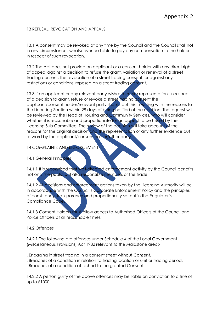#### 13 REFUSAL, REVOCATION AND APPEALS

13.1 A consent may be revoked at any time by the Council and the Council shall not in any circumstances whatsoever be liable to pay any compensation to the holder in respect of such revocation.

13.2 The Act does not provide an applicant or a consent holder with any direct right of appeal against a decision to refuse the grant, variation or renewal of a street trading consent, the revocation of a street trading consent, or against any restrictions or conditions imposed on a street trading consent.

13.3 If an applicant or any relevant party wishes to make representations in respect of a decision to grant, refuse or revoke a street trading consent the applicant/consent holder/relevant party should put this in writing with the reasons to the Licensing Section within 28 days of being notified of the decision. The request will be reviewed by the Head of Housing and Community Services, who will consider whether it is reasonable and proportionate for an appeal to be heard by the Licensing Sub Committee. The review of the decision will take account of the reasons for the original decision and the representation or any further evidence put forward by the applicant/consent holder/other party.

14 COMPLAINTS AND ENFORCEMENT

#### 14.1 General Principles

14.1.1 It is recognised that well-directed enforcement activity by the Council benefits not only the public but also responsible members of the trade.

14.1.2 All decisions and enforcement actions taken by the Licensing Authority will be in accordance with the Council's Corporate Enforcement Policy and the principles of consistency, transparency and proportionality set out in the Regulator's Compliance Code.

14.1.3 Consent Holders must allow access to Authorised Officers of the Council and Police Officers at all reasonable times.

#### 14.2 Offences

14.2.1 The following are offences under Schedule 4 of the Local Government (Miscellaneous Provisions) Act 1982 relevant to the Maidstone area:-

. Engaging in street trading in a consent street without Consent.

. Breaches of a condition in relation to trading location or unit or trading period.

. Breaches of a condition attached to the granted Consent.

14.2.2 A person guilty of the above offences may be liable on conviction to a fine of up to £1000.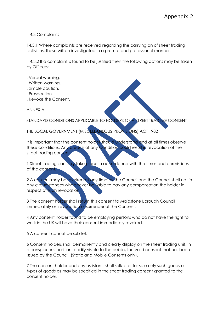#### 14.3 Complaints

14.3.1 Where complaints are received regarding the carrying on of street trading activities, these will be investigated in a prompt and professional manner.

14.3.2 If a complaint is found to be justified then the following actions may be taken by Officers:

- . Verbal warning.
- . Written warning.
- . Simple caution.
- . Prosecution.
- . Revoke the Consent.

ANNEX A

STANDARD CONDITIONS APPLICABLE TO HOLDERS OF A STREET TRADING CONSENT

THE LOCAL GOVERNMENT (MISCELLANEOUS PROVISIONS) ACT 1982

It is important that the consent holder should understand and at all times observe these conditions. Any breach of any Condition could result in revocation of the street trading consent.

1 Street trading can only take place in accordance with the times and permissions of the consent.

2 A consent may be revoked at any time by the Council and the Council shall not in any circumstances whatsoever be liable to pay any compensation the holder in respect of such revocation.

3 The consent holder shall return this consent to Maidstone Borough Council immediately on revocation or surrender of the Consent.

4 Any consent holder found to be employing persons who do not have the right to work in the UK will have their consent immediately revoked.

5 A consent cannot be sub-let.

6 Consent holders shall permanently and clearly display on the street trading unit, in a conspicuous position readily visible to the public, the valid consent that has been issued by the Council. (Static and Mobile Consents only).

7 The consent holder and any assistants shall sell/offer for sale only such goods or types of goods as may be specified in the street trading consent granted to the consent holder.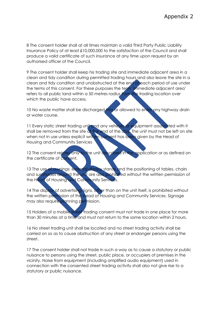8 The consent holder shall at all times maintain a valid Third Party Public Liability Insurance Policy of at least £10,000,000 to the satisfaction of the Council and shall produce a valid certificate of such insurance at any time upon request by an authorised officer of the Council.

9 The consent holder shall keep his trading site and immediate adjacent area in a clean and tidy condition during permitted trading hours and also leave the site in a clean and tidy condition and unobstructed at the end of each period of use under the terms of this consent. For these purposes the term 'immediate adjacent area' refers to all public land within a 50 metres radius from the trading location over which the public have access.

10 No waste matter shall be discharged into or allowed to enter any highway drain or water course.

11 Every static street trading unit and any vehicles or equipment associated with it shall be removed from the site at the end of the day. The unit must not be left on site when not in use unless explicit written consent has been given by the Head of Housing and Community Services

12 The consent relates only to the unit described in the application or as defined on the certificate of consent.

13 The use of awnings; external display stands and the positioning of tables, chairs and sunshades around the unit are also prohibited without the written permission of the Head of Housing and Community Services.

14 The display of advertising signs, other than on the unit itself, is prohibited without the written permission of the Head of Housing and Community Services. Signage may also require planning permission.

15 Holders of a mobile street trading consent must not trade in one place for more than 30 minutes at a time and must not return to the same location within 2 hours.

16 No street trading unit shall be located and no street trading activity shall be carried on so as to cause obstruction of any street or endanger persons using the street.

17 The consent holder shall not trade in such a way as to cause a statutory or public nuisance to persons using the street, public place, or occupiers of premises in the vicinity. Noise from equipment (including amplified audio equipment) used in connection with the consented street trading activity shall also not give rise to a statutory or public nuisance.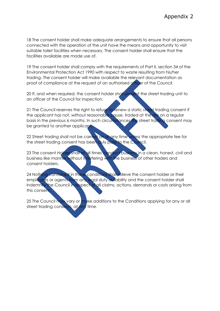18 The consent holder shall make adequate arrangements to ensure that all persons connected with the operation of the unit have the means and opportunity to visit suitable toilet facilities when necessary. The consent holder shall ensure that the facilities available are made use of.

19 The consent holder shall comply with the requirements of Part II, section 34 of the Environmental Protection Act 1990 with respect to waste resulting from his/her trading. The consent holder will make available the relevant documentation as proof of compliance at the request of an authorised officer of the Council.

20 If, and when required, the consent holder shall present the street trading unit to an officer of the Council for inspection.

21 The Council reserves the right to refuse to renew a static street trading consent if the applicant has not, without reasonable cause, traded at the site on a regular basis in the previous 6 months. In such circumstances the street trading consent may be granted to another applicant.

22 Street trading shall not be carried on at any time unless the appropriate fee for the street trading consent has been duly paid to the Council.

23 The consent Holder shall at all times conduct business in a clean, honest, civil and business like manner without interfering with the business of other traders and consent holders.

24 Nothing contained in these conditions shall relieve the consent holder or their employees or agents from any legal duty or liability and the consent holder shall indemnify the Council in respect of all claims, actions, demands or costs arising from this consent.

25 The Council may vary or make additions to the Conditions applying for any or all street trading consents, at any time.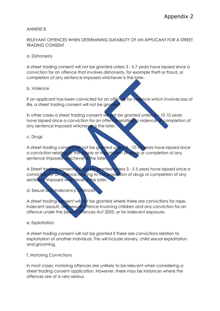#### ANNEXE B

#### RELEVANT OFFENCES WHEN DETERMINING SUITABILITY OF AN APPLICANT FOR A STREET TRADING CONSENT

#### a. Dishonesty

A street trading consent will not be granted unless 3 - 5 7 years have lapsed since a conviction for an offence that involves dishonesty, for example theft or fraud, or completion of any sentence imposed whichever is the later.

#### b. Violence

If an applicant has been convicted for an offence for violence which involves loss of life, a street trading consent will not be granted.

In other cases a street trading consent will not be granted unless  $3 - 10$  10 years have lapsed since a conviction for an offence relating to violence or completion of any sentence imposed whichever is the later.

#### c. Drugs

A street trading consent will not be granted unless 5 - 10 10 years have lapsed since a conviction relating to the supply or importation of drugs or completion of any sentence imposed whichever is the later.

A Street trading consent will not be granted unless 3 - 5 5 years have lapsed since a conviction for an offence relating to the possession of drugs or completion of any sentence imposed whichever is the later.

#### d. Sexual and Indecency Offences

A street trading consent will not be granted where there are convictions for rape, indecent assault, any sexual offence involving children and any conviction for an offence under the Sexual Offences Act 2003, or for indecent exposure.

#### e. Exploitation

A street trading consent will not be granted if there are convictions relation to exploitation of another individual. This will include slavery, child sexual exploitation and grooming.

#### f. Motoring Convictions

In most cases, motoring offences are unlikely to be relevant when considering a street trading consent application. However, there may be instances where the offences are of a very serious